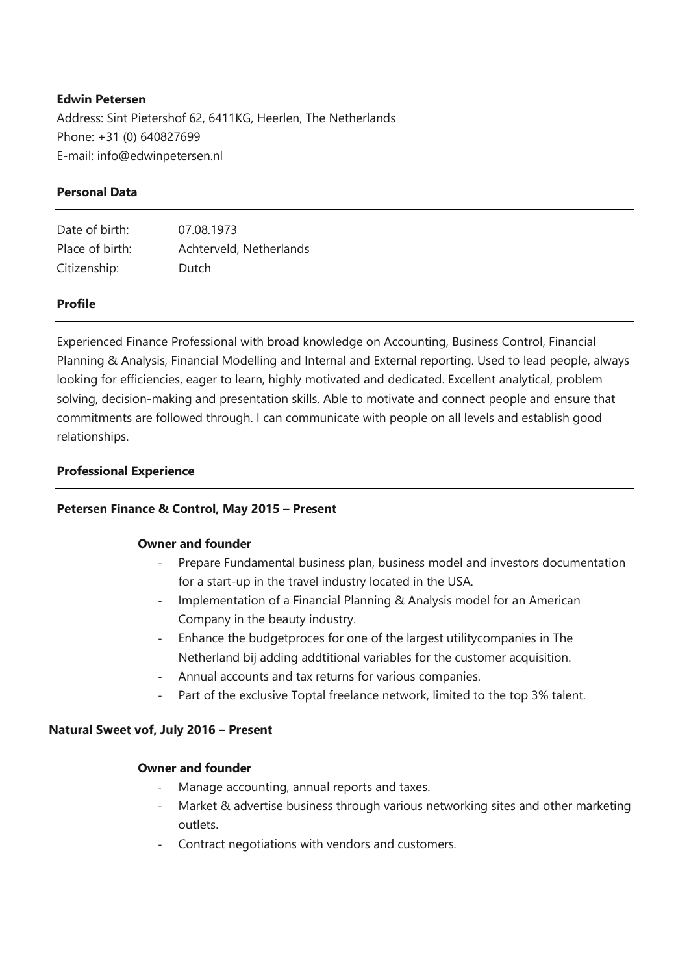# Edwin Petersen

Address: Sint Pietershof 62, 6411KG, Heerlen, The Netherlands Phone: +31 (0) 640827699 E-mail: info@edwinpetersen.nl

# Personal Data

| Date of birth:  | 07.08.1973              |
|-----------------|-------------------------|
| Place of birth: | Achterveld, Netherlands |
| Citizenship:    | Dutch                   |

# Profile

Experienced Finance Professional with broad knowledge on Accounting, Business Control, Financial Planning & Analysis, Financial Modelling and Internal and External reporting. Used to lead people, always looking for efficiencies, eager to learn, highly motivated and dedicated. Excellent analytical, problem solving, decision-making and presentation skills. Able to motivate and connect people and ensure that commitments are followed through. I can communicate with people on all levels and establish good relationships.

# Professional Experience

# Petersen Finance & Control, May 2015 – Present

## Owner and founder

- Prepare Fundamental business plan, business model and investors documentation for a start-up in the travel industry located in the USA.
- Implementation of a Financial Planning & Analysis model for an American Company in the beauty industry.
- Enhance the budgetproces for one of the largest utilitycompanies in The Netherland bij adding addtitional variables for the customer acquisition.
- Annual accounts and tax returns for various companies.
- Part of the exclusive Toptal freelance network, limited to the top 3% talent.

# Natural Sweet vof, July 2016 – Present

# Owner and founder

- Manage accounting, annual reports and taxes.
- Market & advertise business through various networking sites and other marketing outlets.
- Contract negotiations with vendors and customers.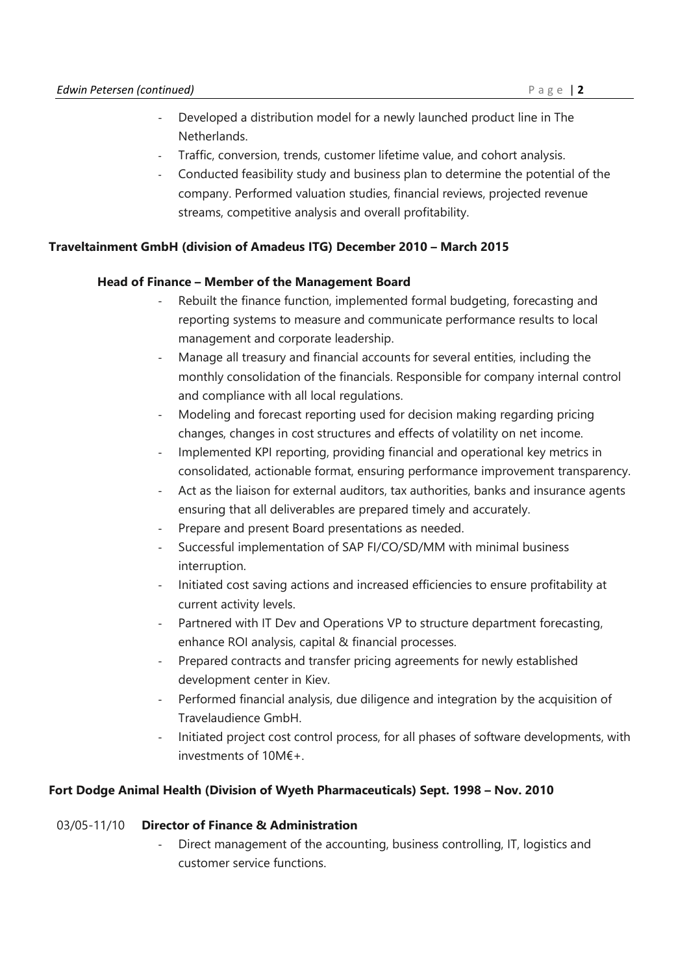- Developed a distribution model for a newly launched product line in The **Netherlands**
- Traffic, conversion, trends, customer lifetime value, and cohort analysis.
- Conducted feasibility study and business plan to determine the potential of the company. Performed valuation studies, financial reviews, projected revenue streams, competitive analysis and overall profitability.

# Traveltainment GmbH (division of Amadeus ITG) December 2010 – March 2015

## Head of Finance – Member of the Management Board

- Rebuilt the finance function, implemented formal budgeting, forecasting and reporting systems to measure and communicate performance results to local management and corporate leadership.
- Manage all treasury and financial accounts for several entities, including the monthly consolidation of the financials. Responsible for company internal control and compliance with all local regulations.
- Modeling and forecast reporting used for decision making regarding pricing changes, changes in cost structures and effects of volatility on net income.
- Implemented KPI reporting, providing financial and operational key metrics in consolidated, actionable format, ensuring performance improvement transparency.
- Act as the liaison for external auditors, tax authorities, banks and insurance agents ensuring that all deliverables are prepared timely and accurately.
- Prepare and present Board presentations as needed.
- Successful implementation of SAP FI/CO/SD/MM with minimal business interruption.
- Initiated cost saving actions and increased efficiencies to ensure profitability at current activity levels.
- Partnered with IT Dev and Operations VP to structure department forecasting, enhance ROI analysis, capital & financial processes.
- Prepared contracts and transfer pricing agreements for newly established development center in Kiev.
- Performed financial analysis, due diligence and integration by the acquisition of Travelaudience GmbH.
- Initiated project cost control process, for all phases of software developments, with investments of 10M€+.

# Fort Dodge Animal Health (Division of Wyeth Pharmaceuticals) Sept. 1998 – Nov. 2010

## 03/05-11/10 Director of Finance & Administration

Direct management of the accounting, business controlling, IT, logistics and customer service functions.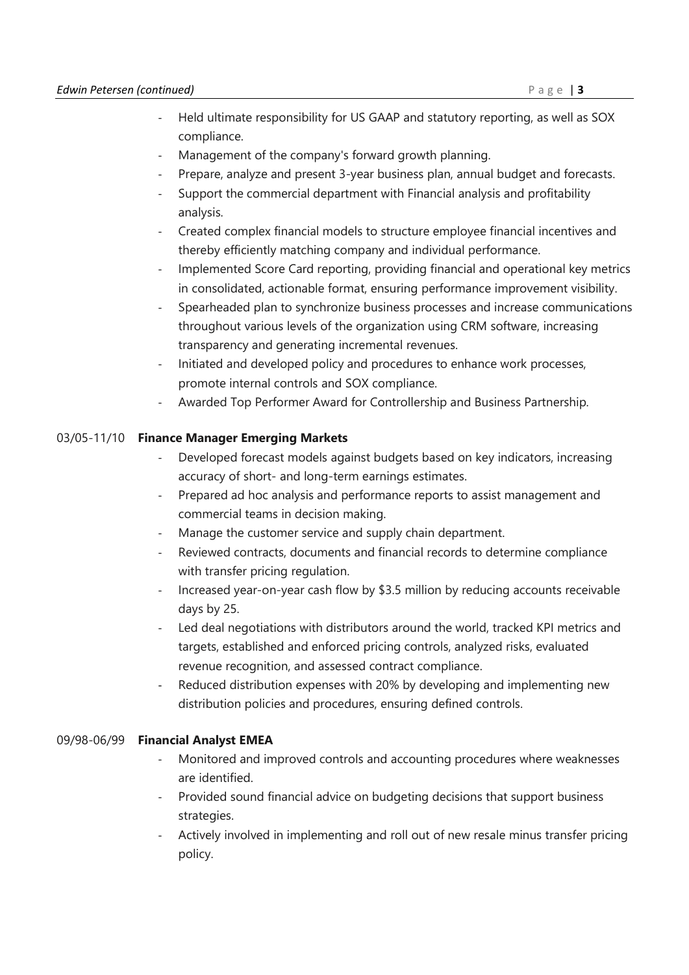- Held ultimate responsibility for US GAAP and statutory reporting, as well as SOX compliance.
- Management of the company's forward growth planning.
- Prepare, analyze and present 3-year business plan, annual budget and forecasts.
- Support the commercial department with Financial analysis and profitability analysis.
- Created complex financial models to structure employee financial incentives and thereby efficiently matching company and individual performance.
- Implemented Score Card reporting, providing financial and operational key metrics in consolidated, actionable format, ensuring performance improvement visibility.
- Spearheaded plan to synchronize business processes and increase communications throughout various levels of the organization using CRM software, increasing transparency and generating incremental revenues.
- Initiated and developed policy and procedures to enhance work processes, promote internal controls and SOX compliance.
- Awarded Top Performer Award for Controllership and Business Partnership.

# 03/05-11/10 Finance Manager Emerging Markets

- Developed forecast models against budgets based on key indicators, increasing accuracy of short- and long-term earnings estimates.
- Prepared ad hoc analysis and performance reports to assist management and commercial teams in decision making.
- Manage the customer service and supply chain department.
- Reviewed contracts, documents and financial records to determine compliance with transfer pricing regulation.
- Increased year-on-year cash flow by \$3.5 million by reducing accounts receivable days by 25.
- Led deal negotiations with distributors around the world, tracked KPI metrics and targets, established and enforced pricing controls, analyzed risks, evaluated revenue recognition, and assessed contract compliance.
- Reduced distribution expenses with 20% by developing and implementing new distribution policies and procedures, ensuring defined controls.

# 09/98-06/99 Financial Analyst EMEA

- Monitored and improved controls and accounting procedures where weaknesses are identified.
- Provided sound financial advice on budgeting decisions that support business strategies.
- Actively involved in implementing and roll out of new resale minus transfer pricing policy.